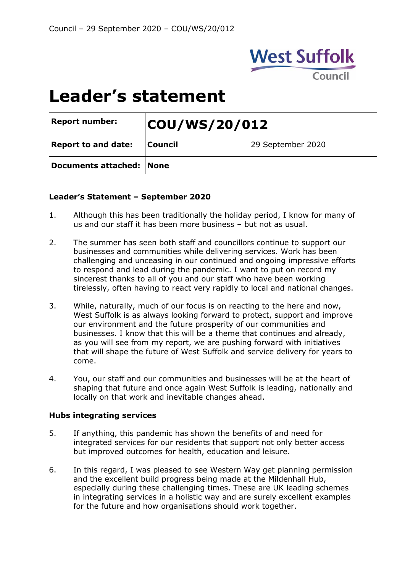

# **Leader's statement**

| <b>Report number:</b>      | COU/WS/20/012 |                   |
|----------------------------|---------------|-------------------|
| <b>Report to and date:</b> | Council       | 29 September 2020 |
| Documents attached: None   |               |                   |

#### **Leader's Statement – September 2020**

- 1. Although this has been traditionally the holiday period, I know for many of us and our staff it has been more business – but not as usual.
- 2. The summer has seen both staff and councillors continue to support our businesses and communities while delivering services. Work has been challenging and unceasing in our continued and ongoing impressive efforts to respond and lead during the pandemic. I want to put on record my sincerest thanks to all of you and our staff who have been working tirelessly, often having to react very rapidly to local and national changes.
- 3. While, naturally, much of our focus is on reacting to the here and now, West Suffolk is as always looking forward to protect, support and improve our environment and the future prosperity of our communities and businesses. I know that this will be a theme that continues and already, as you will see from my report, we are pushing forward with initiatives that will shape the future of West Suffolk and service delivery for years to come.
- 4. You, our staff and our communities and businesses will be at the heart of shaping that future and once again West Suffolk is leading, nationally and locally on that work and inevitable changes ahead.

## **Hubs integrating services**

- 5. If anything, this pandemic has shown the benefits of and need for integrated services for our residents that support not only better access but improved outcomes for health, education and leisure.
- 6. In this regard, I was pleased to see Western Way get planning permission and the excellent build progress being made at the Mildenhall Hub, especially during these challenging times. These are UK leading schemes in integrating services in a holistic way and are surely excellent examples for the future and how organisations should work together.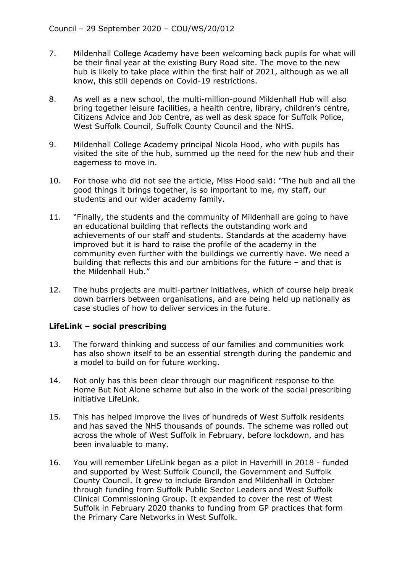- 7. Mildenhall College Academy have been welcoming back pupils for what will be their final year at the existing Bury Road site. The move to the new hub is likely to take place within the first half of 2021, although as we all know, this still depends on Covid-19 restrictions.
- 8. As well as a new school, the multi-million-pound Mildenhall Hub will also bring together leisure facilities, a health centre, library, children's centre, Citizens Advice and Job Centre, as well as desk space for Suffolk Police, West Suffolk Council, Suffolk County Council and the NHS.
- 9. Mildenhall College Academy principal Nicola Hood, who with pupils has visited the site of the hub, summed up the need for the new hub and their eagerness to move in.
- 10. For those who did not see the article, Miss Hood said: "The hub and all the good things it brings together, is so important to me, my staff, our students and our wider academy family.
- 11. "Finally, the students and the community of Mildenhall are going to have an educational building that reflects the outstanding work and achievements of our staff and students. Standards at the academy have improved but it is hard to raise the profile of the academy in the community even further with the buildings we currently have. We need a building that reflects this and our ambitions for the future – and that is the Mildenhall Hub."
- 12. The hubs projects are multi-partner initiatives, which of course help break down barriers between organisations, and are being held up nationally as case studies of how to deliver services in the future.

## **LifeLink – social prescribing**

- 13. The forward thinking and success of our families and communities work has also shown itself to be an essential strength during the pandemic and a model to build on for future working.
- 14. Not only has this been clear through our magnificent response to the Home But Not Alone scheme but also in the work of the social prescribing initiative LifeLink.
- 15. This has helped improve the lives of hundreds of West Suffolk residents and has saved the NHS thousands of pounds. The scheme was rolled out across the whole of West Suffolk in February, before lockdown, and has been invaluable to many.
- 16. You will remember LifeLink began as a pilot in Haverhill in 2018 funded and supported by West Suffolk Council, the Government and Suffolk County Council. It grew to include Brandon and Mildenhall in October through funding from Suffolk Public Sector Leaders and West Suffolk Clinical Commissioning Group. It expanded to cover the rest of West Suffolk in February 2020 thanks to funding from GP practices that form the Primary Care Networks in West Suffolk.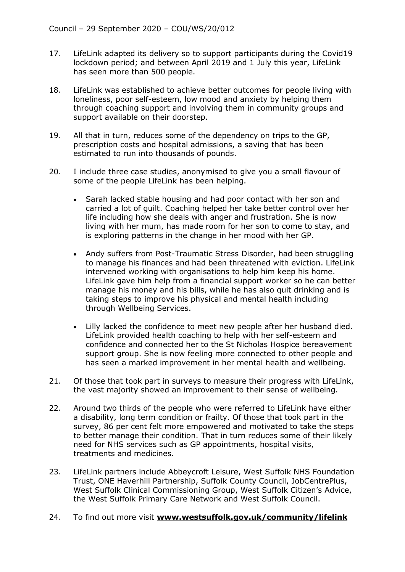- 17. LifeLink adapted its delivery so to support participants during the Covid19 lockdown period; and between April 2019 and 1 July this year, LifeLink has seen more than 500 people.
- 18. LifeLink was established to achieve better outcomes for people living with loneliness, poor self-esteem, low mood and anxiety by helping them through coaching support and involving them in community groups and support available on their doorstep.
- 19. All that in turn, reduces some of the dependency on trips to the GP, prescription costs and hospital admissions, a saving that has been estimated to run into thousands of pounds.
- 20. I include three case studies, anonymised to give you a small flavour of some of the people LifeLink has been helping.
	- Sarah lacked stable housing and had poor contact with her son and carried a lot of guilt. Coaching helped her take better control over her life including how she deals with anger and frustration. She is now living with her mum, has made room for her son to come to stay, and is exploring patterns in the change in her mood with her GP.
	- Andy suffers from Post-Traumatic Stress Disorder, had been struggling to manage his finances and had been threatened with eviction. LifeLink intervened working with organisations to help him keep his home. LifeLink gave him help from a financial support worker so he can better manage his money and his bills, while he has also quit drinking and is taking steps to improve his physical and mental health including through Wellbeing Services.
	- Lilly lacked the confidence to meet new people after her husband died. LifeLink provided health coaching to help with her self-esteem and confidence and connected her to the St Nicholas Hospice bereavement support group. She is now feeling more connected to other people and has seen a marked improvement in her mental health and wellbeing.
- 21. Of those that took part in surveys to measure their progress with LifeLink, the vast majority showed an improvement to their sense of wellbeing.
- 22. Around two thirds of the people who were referred to LifeLink have either a disability, long term condition or frailty. Of those that took part in the survey, 86 per cent felt more empowered and motivated to take the steps to better manage their condition. That in turn reduces some of their likely need for NHS services such as GP appointments, hospital visits, treatments and medicines.
- 23. LifeLink partners include Abbeycroft Leisure, West Suffolk NHS Foundation Trust, ONE Haverhill Partnership, Suffolk County Council, JobCentrePlus, West Suffolk Clinical Commissioning Group, West Suffolk Citizen's Advice, the West Suffolk Primary Care Network and West Suffolk Council.
- 24. To find out more visit **[www.westsuffolk.gov.uk/community/lifelink](http://www.westsuffolk.gov.uk/community/lifelink)**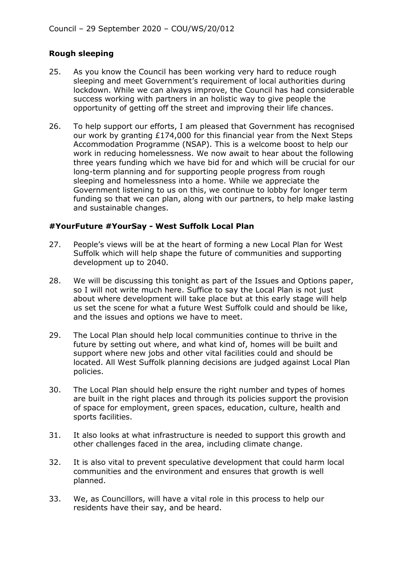## **Rough sleeping**

- 25. As you know the Council has been working very hard to reduce rough sleeping and meet Government's requirement of local authorities during lockdown. While we can always improve, the Council has had considerable success working with partners in an holistic way to give people the opportunity of getting off the street and improving their life chances.
- 26. To help support our efforts, I am pleased that Government has recognised our work by granting £174,000 for this financial year from the Next Steps Accommodation Programme (NSAP). This is a welcome boost to help our work in reducing homelessness. We now await to hear about the following three years funding which we have bid for and which will be crucial for our long-term planning and for supporting people progress from rough sleeping and homelessness into a home. While we appreciate the Government listening to us on this, we continue to lobby for longer term funding so that we can plan, along with our partners, to help make lasting and sustainable changes.

## **#YourFuture #YourSay - West Suffolk Local Plan**

- 27. People's views will be at the heart of forming a new Local Plan for West Suffolk which will help shape the future of communities and supporting development up to 2040.
- 28. We will be discussing this tonight as part of the Issues and Options paper, so I will not write much here. Suffice to say the Local Plan is not just about where development will take place but at this early stage will help us set the scene for what a future West Suffolk could and should be like, and the issues and options we have to meet.
- 29. The Local Plan should help local communities continue to thrive in the future by setting out where, and what kind of, homes will be built and support where new jobs and other vital facilities could and should be located. All West Suffolk planning decisions are judged against Local Plan policies.
- 30. The Local Plan should help ensure the right number and types of homes are built in the right places and through its policies support the provision of space for employment, green spaces, education, culture, health and sports facilities.
- 31. It also looks at what infrastructure is needed to support this growth and other challenges faced in the area, including climate change.
- 32. It is also vital to prevent speculative development that could harm local communities and the environment and ensures that growth is well planned.
- 33. We, as Councillors, will have a vital role in this process to help our residents have their say, and be heard.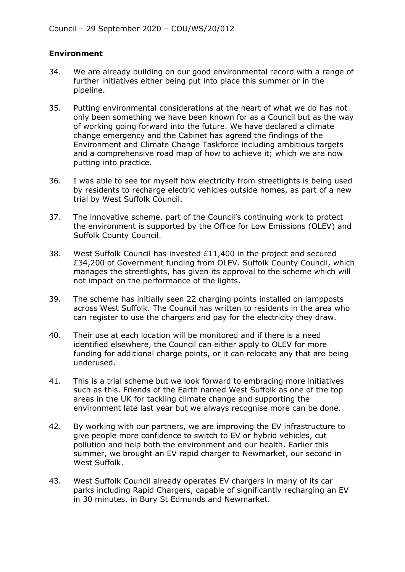## **Environment**

- 34. We are already building on our good environmental record with a range of further initiatives either being put into place this summer or in the pipeline.
- 35. Putting environmental considerations at the heart of what we do has not only been something we have been known for as a Council but as the way of working going forward into the future. We have declared a climate change emergency and the Cabinet has agreed the findings of the Environment and Climate Change Taskforce including ambitious targets and a comprehensive road map of how to achieve it; which we are now putting into practice.
- 36. I was able to see for myself how electricity from streetlights is being used by residents to recharge electric vehicles outside homes, as part of a new trial by West Suffolk Council.
- 37. The innovative scheme, part of the Council's continuing work to protect the environment is supported by the Office for Low Emissions (OLEV) and Suffolk County Council.
- 38. West Suffolk Council has invested £11,400 in the project and secured £34,200 of Government funding from OLEV. Suffolk County Council, which manages the streetlights, has given its approval to the scheme which will not impact on the performance of the lights.
- 39. The scheme has initially seen 22 charging points installed on lampposts across West Suffolk. The Council has written to residents in the area who can register to use the chargers and pay for the electricity they draw.
- 40. Their use at each location will be monitored and if there is a need identified elsewhere, the Council can either apply to OLEV for more funding for additional charge points, or it can relocate any that are being underused.
- 41. This is a trial scheme but we look forward to embracing more initiatives such as this. Friends of the Earth named West Suffolk as one of the top areas in the UK for tackling climate change and supporting the environment late last year but we always recognise more can be done.
- 42. By working with our partners, we are improving the EV infrastructure to give people more confidence to switch to EV or hybrid vehicles, cut pollution and help both the environment and our health. Earlier this summer, we brought an EV rapid charger to Newmarket, our second in West Suffolk.
- 43. West Suffolk Council already operates EV chargers in many of its car parks including Rapid Chargers, capable of significantly recharging an EV in 30 minutes, in Bury St Edmunds and Newmarket.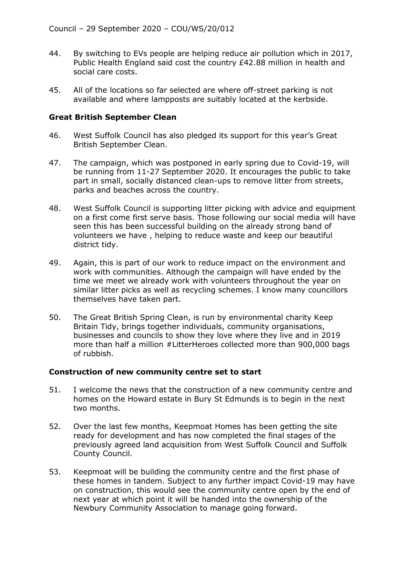- 44. By switching to EVs people are helping reduce air pollution which in 2017, Public Health England said cost the country £42.88 million in health and social care costs.
- 45. All of the locations so far selected are where off-street parking is not available and where lampposts are suitably located at the kerbside.

#### **Great British September Clean**

- 46. West Suffolk Council has also pledged its support for this year's Great British September Clean.
- 47. The campaign, which was postponed in early spring due to Covid-19, will be running from 11-27 September 2020. It encourages the public to take part in small, socially distanced clean-ups to remove litter from streets, parks and beaches across the country.
- 48. West Suffolk Council is supporting litter picking with advice and equipment on a first come first serve basis. Those following our social media will have seen this has been successful building on the already strong band of volunteers we have , helping to reduce waste and keep our beautiful district tidy.
- 49. Again, this is part of our work to reduce impact on the environment and work with communities. Although the campaign will have ended by the time we meet we already work with volunteers throughout the year on similar litter picks as well as recycling schemes. I know many councillors themselves have taken part.
- 50. The Great British Spring Clean, is run by environmental charity Keep Britain Tidy, brings together individuals, community organisations, businesses and councils to show they love where they live and in 2019 more than half a million #LitterHeroes collected more than 900,000 bags of rubbish.

## **Construction of new community centre set to start**

- 51. I welcome the news that the construction of a new community centre and homes on the Howard estate in Bury St Edmunds is to begin in the next two months.
- 52. Over the last few months, Keepmoat Homes has been getting the site ready for development and has now completed the final stages of the previously agreed land acquisition from West Suffolk Council and Suffolk County Council.
- 53. Keepmoat will be building the community centre and the first phase of these homes in tandem. Subject to any further impact Covid-19 may have on construction, this would see the community centre open by the end of next year at which point it will be handed into the ownership of the Newbury Community Association to manage going forward.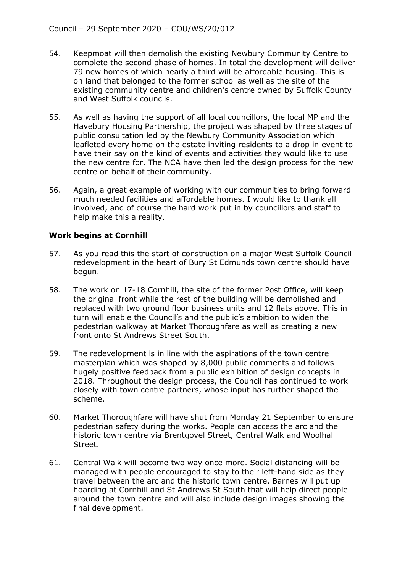- 54. Keepmoat will then demolish the existing Newbury Community Centre to complete the second phase of homes. In total the development will deliver 79 new homes of which nearly a third will be affordable housing. This is on land that belonged to the former school as well as the site of the existing community centre and children's centre owned by Suffolk County and West Suffolk councils.
- 55. As well as having the support of all local councillors, the local MP and the Havebury Housing Partnership, the project was shaped by three stages of public consultation led by the Newbury Community Association which leafleted every home on the estate inviting residents to a drop in event to have their say on the kind of events and activities they would like to use the new centre for. The NCA have then led the design process for the new centre on behalf of their community.
- 56. Again, a great example of working with our communities to bring forward much needed facilities and affordable homes. I would like to thank all involved, and of course the hard work put in by councillors and staff to help make this a reality.

## **Work begins at Cornhill**

- 57. As you read this the start of construction on a major West Suffolk Council redevelopment in the heart of Bury St Edmunds town centre should have begun.
- 58. The work on 17-18 Cornhill, the site of the former Post Office, will keep the original front while the rest of the building will be demolished and replaced with two ground floor business units and 12 flats above. This in turn will enable the Council's and the public's ambition to widen the pedestrian walkway at Market Thoroughfare as well as creating a new front onto St Andrews Street South.
- 59. The redevelopment is in line with the aspirations of the town centre masterplan which was shaped by 8,000 public comments and follows hugely positive feedback from a public exhibition of design concepts in 2018. Throughout the design process, the Council has continued to work closely with town centre partners, whose input has further shaped the scheme.
- 60. Market Thoroughfare will have shut from Monday 21 September to ensure pedestrian safety during the works. People can access the arc and the historic town centre via Brentgovel Street, Central Walk and Woolhall Street.
- 61. Central Walk will become two way once more. Social distancing will be managed with people encouraged to stay to their left-hand side as they travel between the arc and the historic town centre. Barnes will put up hoarding at Cornhill and St Andrews St South that will help direct people around the town centre and will also include design images showing the final development.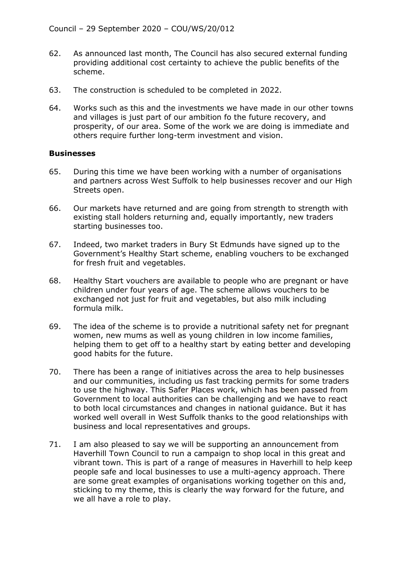- 62. As announced last month, The Council has also secured external funding providing additional cost certainty to achieve the public benefits of the scheme.
- 63. The construction is scheduled to be completed in 2022.
- 64. Works such as this and the investments we have made in our other towns and villages is just part of our ambition fo the future recovery, and prosperity, of our area. Some of the work we are doing is immediate and others require further long-term investment and vision.

#### **Businesses**

- 65. During this time we have been working with a number of organisations and partners across West Suffolk to help businesses recover and our High Streets open.
- 66. Our markets have returned and are going from strength to strength with existing stall holders returning and, equally importantly, new traders starting businesses too.
- 67. Indeed, two market traders in Bury St Edmunds have signed up to the Government's Healthy Start scheme, enabling vouchers to be exchanged for fresh fruit and vegetables.
- 68. Healthy Start vouchers are available to people who are pregnant or have children under four years of age. The scheme allows vouchers to be exchanged not just for fruit and vegetables, but also milk including formula milk.
- 69. The idea of the scheme is to provide a nutritional safety net for pregnant women, new mums as well as young children in low income families, helping them to get off to a healthy start by eating better and developing good habits for the future.
- 70. There has been a range of initiatives across the area to help businesses and our communities, including us fast tracking permits for some traders to use the highway. This Safer Places work, which has been passed from Government to local authorities can be challenging and we have to react to both local circumstances and changes in national guidance. But it has worked well overall in West Suffolk thanks to the good relationships with business and local representatives and groups.
- 71. I am also pleased to say we will be supporting an announcement from Haverhill Town Council to run a campaign to shop local in this great and vibrant town. This is part of a range of measures in Haverhill to help keep people safe and local businesses to use a multi-agency approach. There are some great examples of organisations working together on this and, sticking to my theme, this is clearly the way forward for the future, and we all have a role to play.